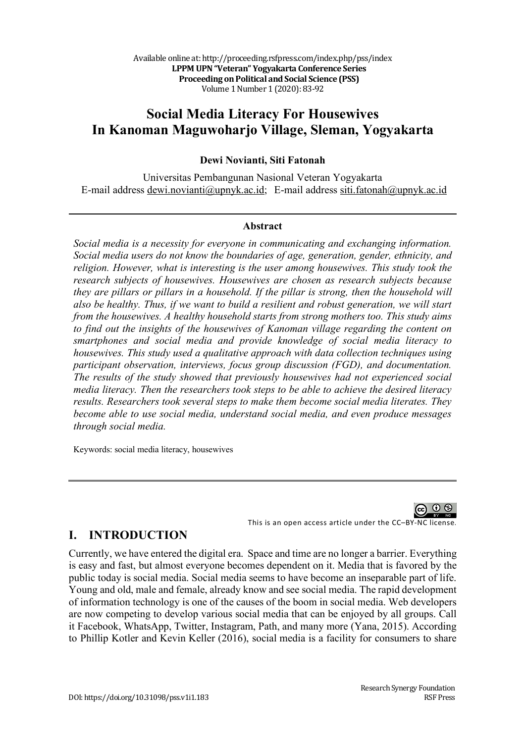# **Social Media Literacy For Housewives In Kanoman Maguwoharjo Village, Sleman, Yogyakarta**

### **Dewi Novianti, Siti Fatonah**

Universitas Pembangunan Nasional Veteran Yogyakarta E-mail address dewi.novianti@upnyk.ac.id; E-mail address siti.fatonah@upnyk.ac.id

#### **Abstract**

*Social media is a necessity for everyone in communicating and exchanging information. Social media users do not know the boundaries of age, generation, gender, ethnicity, and religion. However, what is interesting is the user among housewives. This study took the research subjects of housewives. Housewives are chosen as research subjects because they are pillars or pillars in a household. If the pillar is strong, then the household will also be healthy. Thus, if we want to build a resilient and robust generation, we will start from the housewives. A healthy household starts from strong mothers too. This study aims to find out the insights of the housewives of Kanoman village regarding the content on smartphones and social media and provide knowledge of social media literacy to housewives. This study used a qualitative approach with data collection techniques using participant observation, interviews, focus group discussion (FGD), and documentation. The results of the study showed that previously housewives had not experienced social media literacy. Then the researchers took steps to be able to achieve the desired literacy results. Researchers took several steps to make them become social media literates. They become able to use social media, understand social media, and even produce messages through social media.*

Keywords: social media literacy, housewives

60 Q

This is an open access article under the CC–BY-NC license.

### **I. INTRODUCTION**

Currently, we have entered the digital era. Space and time are no longer a barrier. Everything is easy and fast, but almost everyone becomes dependent on it. Media that is favored by the public today is social media. Social media seems to have become an inseparable part of life. Young and old, male and female, already know and see social media. The rapid development of information technology is one of the causes of the boom in social media. Web developers are now competing to develop various social media that can be enjoyed by all groups. Call it Facebook, WhatsApp, Twitter, Instagram, Path, and many more (Yana, 2015). According to Phillip Kotler and Kevin Keller (2016), social media is a facility for consumers to share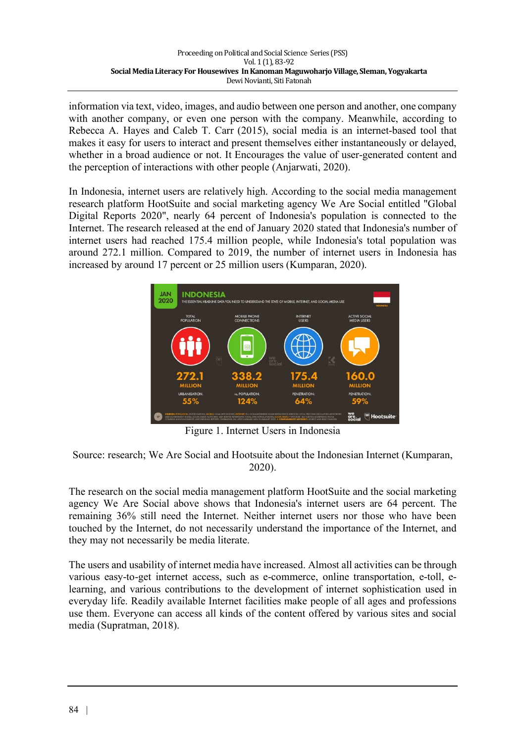information via text, video, images, and audio between one person and another, one company with another company, or even one person with the company. Meanwhile, according to Rebecca A. Hayes and Caleb T. Carr (2015), social media is an internet-based tool that makes it easy for users to interact and present themselves either instantaneously or delayed, whether in a broad audience or not. It Encourages the value of user-generated content and the perception of interactions with other people (Anjarwati, 2020).

In Indonesia, internet users are relatively high. According to the social media management research platform HootSuite and social marketing agency We Are Social entitled "Global Digital Reports 2020", nearly 64 percent of Indonesia's population is connected to the Internet. The research released at the end of January 2020 stated that Indonesia's number of internet users had reached 175.4 million people, while Indonesia's total population was around 272.1 million. Compared to 2019, the number of internet users in Indonesia has increased by around 17 percent or 25 million users (Kumparan, 2020).



Figure 1. Internet Users in Indonesia

Source: research; We Are Social and Hootsuite about the Indonesian Internet (Kumparan, 2020).

The research on the social media management platform HootSuite and the social marketing agency We Are Social above shows that Indonesia's internet users are 64 percent. The remaining 36% still need the Internet. Neither internet users nor those who have been touched by the Internet, do not necessarily understand the importance of the Internet, and they may not necessarily be media literate.

The users and usability of internet media have increased. Almost all activities can be through various easy-to-get internet access, such as e-commerce, online transportation, e-toll, elearning, and various contributions to the development of internet sophistication used in everyday life. Readily available Internet facilities make people of all ages and professions use them. Everyone can access all kinds of the content offered by various sites and social media (Supratman, 2018).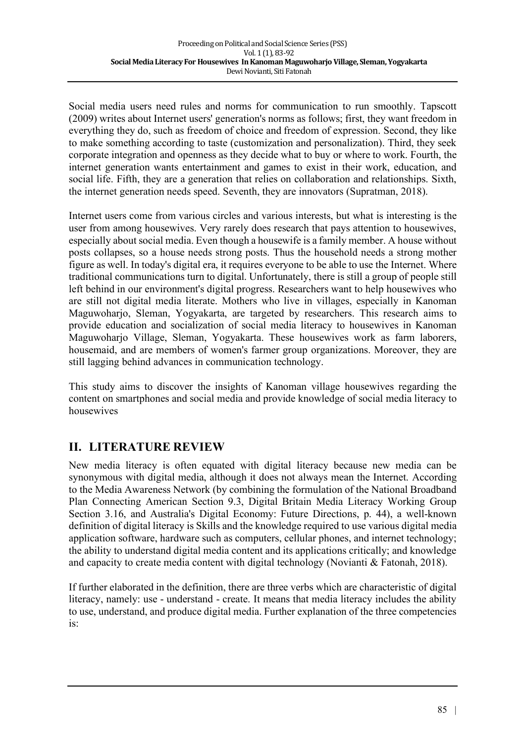Social media users need rules and norms for communication to run smoothly. Tapscott (2009) writes about Internet users' generation's norms as follows; first, they want freedom in everything they do, such as freedom of choice and freedom of expression. Second, they like to make something according to taste (customization and personalization). Third, they seek corporate integration and openness as they decide what to buy or where to work. Fourth, the internet generation wants entertainment and games to exist in their work, education, and social life. Fifth, they are a generation that relies on collaboration and relationships. Sixth, the internet generation needs speed. Seventh, they are innovators (Supratman, 2018).

Internet users come from various circles and various interests, but what is interesting is the user from among housewives. Very rarely does research that pays attention to housewives, especially about social media. Even though a housewife is a family member. A house without posts collapses, so a house needs strong posts. Thus the household needs a strong mother figure as well. In today's digital era, it requires everyone to be able to use the Internet. Where traditional communications turn to digital. Unfortunately, there is still a group of people still left behind in our environment's digital progress. Researchers want to help housewives who are still not digital media literate. Mothers who live in villages, especially in Kanoman Maguwoharjo, Sleman, Yogyakarta, are targeted by researchers. This research aims to provide education and socialization of social media literacy to housewives in Kanoman Maguwoharjo Village, Sleman, Yogyakarta. These housewives work as farm laborers, housemaid, and are members of women's farmer group organizations. Moreover, they are still lagging behind advances in communication technology.

This study aims to discover the insights of Kanoman village housewives regarding the content on smartphones and social media and provide knowledge of social media literacy to housewives

# **II. LITERATURE REVIEW**

New media literacy is often equated with digital literacy because new media can be synonymous with digital media, although it does not always mean the Internet. According to the Media Awareness Network (by combining the formulation of the National Broadband Plan Connecting American Section 9.3, Digital Britain Media Literacy Working Group Section 3.16, and Australia's Digital Economy: Future Directions, p. 44), a well-known definition of digital literacy is Skills and the knowledge required to use various digital media application software, hardware such as computers, cellular phones, and internet technology; the ability to understand digital media content and its applications critically; and knowledge and capacity to create media content with digital technology (Novianti & Fatonah, 2018).

If further elaborated in the definition, there are three verbs which are characteristic of digital literacy, namely: use - understand - create. It means that media literacy includes the ability to use, understand, and produce digital media. Further explanation of the three competencies is: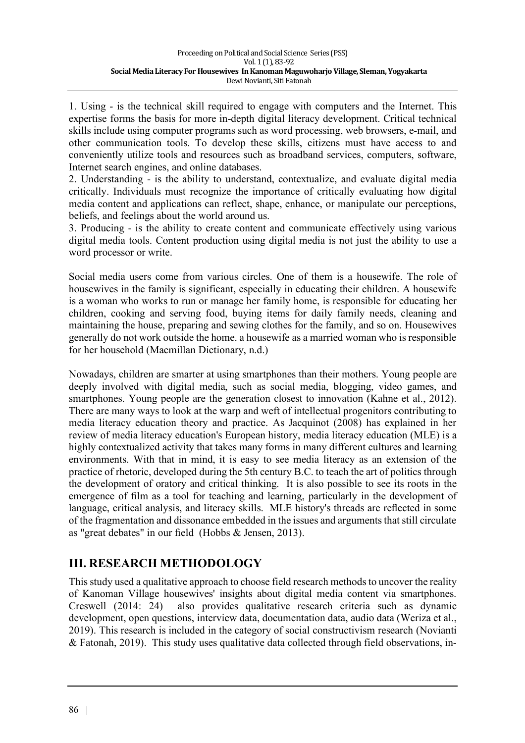1. Using - is the technical skill required to engage with computers and the Internet. This expertise forms the basis for more in-depth digital literacy development. Critical technical skills include using computer programs such as word processing, web browsers, e-mail, and other communication tools. To develop these skills, citizens must have access to and conveniently utilize tools and resources such as broadband services, computers, software, Internet search engines, and online databases.

2. Understanding - is the ability to understand, contextualize, and evaluate digital media critically. Individuals must recognize the importance of critically evaluating how digital media content and applications can reflect, shape, enhance, or manipulate our perceptions, beliefs, and feelings about the world around us.

3. Producing - is the ability to create content and communicate effectively using various digital media tools. Content production using digital media is not just the ability to use a word processor or write.

Social media users come from various circles. One of them is a housewife. The role of housewives in the family is significant, especially in educating their children. A housewife is a woman who works to run or manage her family home, is responsible for educating her children, cooking and serving food, buying items for daily family needs, cleaning and maintaining the house, preparing and sewing clothes for the family, and so on. Housewives generally do not work outside the home. a housewife as a married woman who is responsible for her household (Macmillan Dictionary, n.d.)

Nowadays, children are smarter at using smartphones than their mothers. Young people are deeply involved with digital media, such as social media, blogging, video games, and smartphones. Young people are the generation closest to innovation (Kahne et al., 2012). There are many ways to look at the warp and weft of intellectual progenitors contributing to media literacy education theory and practice. As Jacquinot (2008) has explained in her review of media literacy education's European history, media literacy education (MLE) is a highly contextualized activity that takes many forms in many different cultures and learning environments. With that in mind, it is easy to see media literacy as an extension of the practice of rhetoric, developed during the 5th century B.C. to teach the art of politics through the development of oratory and critical thinking. It is also possible to see its roots in the emergence of film as a tool for teaching and learning, particularly in the development of language, critical analysis, and literacy skills. MLE history's threads are reflected in some of the fragmentation and dissonance embedded in the issues and arguments that still circulate as "great debates" in our field (Hobbs & Jensen, 2013).

# **III. RESEARCH METHODOLOGY**

This study used a qualitative approach to choose field research methods to uncover the reality of Kanoman Village housewives' insights about digital media content via smartphones. Creswell (2014: 24) also provides qualitative research criteria such as dynamic development, open questions, interview data, documentation data, audio data (Weriza et al., 2019). This research is included in the category of social constructivism research (Novianti & Fatonah, 2019). This study uses qualitative data collected through field observations, in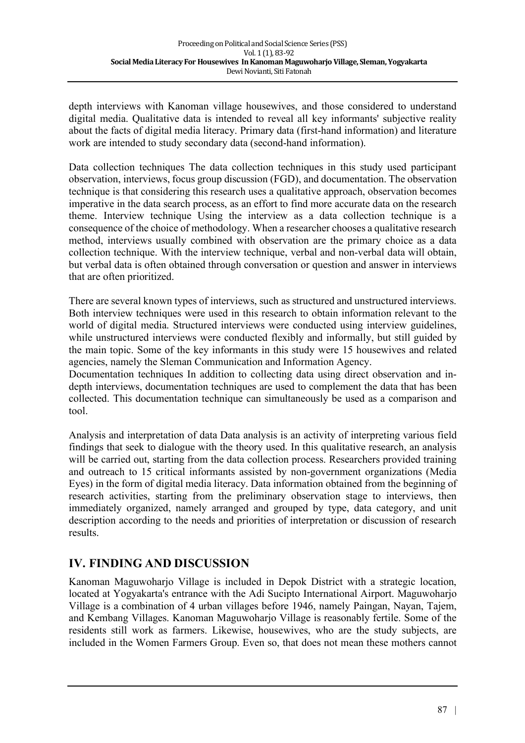depth interviews with Kanoman village housewives, and those considered to understand digital media. Qualitative data is intended to reveal all key informants' subjective reality about the facts of digital media literacy. Primary data (first-hand information) and literature work are intended to study secondary data (second-hand information).

Data collection techniques The data collection techniques in this study used participant observation, interviews, focus group discussion (FGD), and documentation. The observation technique is that considering this research uses a qualitative approach, observation becomes imperative in the data search process, as an effort to find more accurate data on the research theme. Interview technique Using the interview as a data collection technique is a consequence of the choice of methodology. When a researcher chooses a qualitative research method, interviews usually combined with observation are the primary choice as a data collection technique. With the interview technique, verbal and non-verbal data will obtain, but verbal data is often obtained through conversation or question and answer in interviews that are often prioritized.

There are several known types of interviews, such as structured and unstructured interviews. Both interview techniques were used in this research to obtain information relevant to the world of digital media. Structured interviews were conducted using interview guidelines, while unstructured interviews were conducted flexibly and informally, but still guided by the main topic. Some of the key informants in this study were 15 housewives and related agencies, namely the Sleman Communication and Information Agency.

Documentation techniques In addition to collecting data using direct observation and indepth interviews, documentation techniques are used to complement the data that has been collected. This documentation technique can simultaneously be used as a comparison and tool.

Analysis and interpretation of data Data analysis is an activity of interpreting various field findings that seek to dialogue with the theory used. In this qualitative research, an analysis will be carried out, starting from the data collection process. Researchers provided training and outreach to 15 critical informants assisted by non-government organizations (Media Eyes) in the form of digital media literacy. Data information obtained from the beginning of research activities, starting from the preliminary observation stage to interviews, then immediately organized, namely arranged and grouped by type, data category, and unit description according to the needs and priorities of interpretation or discussion of research results.

### **IV. FINDING AND DISCUSSION**

Kanoman Maguwoharjo Village is included in Depok District with a strategic location, located at Yogyakarta's entrance with the Adi Sucipto International Airport. Maguwoharjo Village is a combination of 4 urban villages before 1946, namely Paingan, Nayan, Tajem, and Kembang Villages. Kanoman Maguwoharjo Village is reasonably fertile. Some of the residents still work as farmers. Likewise, housewives, who are the study subjects, are included in the Women Farmers Group. Even so, that does not mean these mothers cannot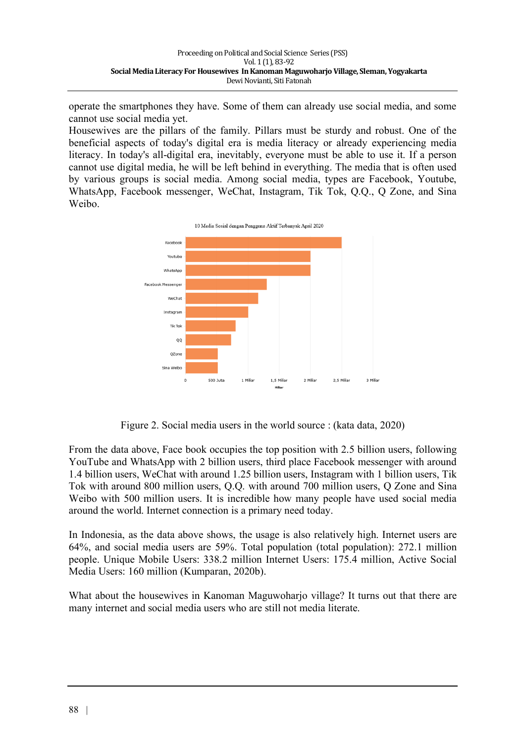operate the smartphones they have. Some of them can already use social media, and some cannot use social media yet.

Housewives are the pillars of the family. Pillars must be sturdy and robust. One of the beneficial aspects of today's digital era is media literacy or already experiencing media literacy. In today's all-digital era, inevitably, everyone must be able to use it. If a person cannot use digital media, he will be left behind in everything. The media that is often used by various groups is social media. Among social media, types are Facebook, Youtube, WhatsApp, Facebook messenger, WeChat, Instagram, Tik Tok, Q.Q., Q Zone, and Sina Weibo.



Figure 2. Social media users in the world source : (kata data, 2020)

From the data above, Face book occupies the top position with 2.5 billion users, following YouTube and WhatsApp with 2 billion users, third place Facebook messenger with around 1.4 billion users, WeChat with around 1.25 billion users, Instagram with 1 billion users, Tik Tok with around 800 million users, Q.Q. with around 700 million users, Q Zone and Sina Weibo with 500 million users. It is incredible how many people have used social media around the world. Internet connection is a primary need today.

In Indonesia, as the data above shows, the usage is also relatively high. Internet users are 64%, and social media users are 59%. Total population (total population): 272.1 million people. Unique Mobile Users: 338.2 million Internet Users: 175.4 million, Active Social Media Users: 160 million (Kumparan, 2020b).

What about the housewives in Kanoman Maguwoharjo village? It turns out that there are many internet and social media users who are still not media literate.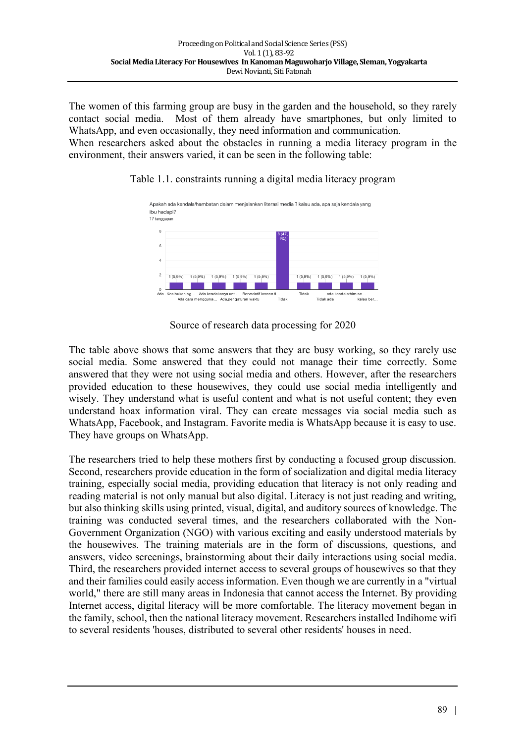The women of this farming group are busy in the garden and the household, so they rarely contact social media. Most of them already have smartphones, but only limited to WhatsApp, and even occasionally, they need information and communication.

When researchers asked about the obstacles in running a media literacy program in the environment, their answers varied, it can be seen in the following table:

#### Table 1.1. constraints running a digital media literacy program



Source of research data processing for 2020

The table above shows that some answers that they are busy working, so they rarely use social media. Some answered that they could not manage their time correctly. Some answered that they were not using social media and others. However, after the researchers provided education to these housewives, they could use social media intelligently and wisely. They understand what is useful content and what is not useful content; they even understand hoax information viral. They can create messages via social media such as WhatsApp, Facebook, and Instagram. Favorite media is WhatsApp because it is easy to use. They have groups on WhatsApp.

The researchers tried to help these mothers first by conducting a focused group discussion. Second, researchers provide education in the form of socialization and digital media literacy training, especially social media, providing education that literacy is not only reading and reading material is not only manual but also digital. Literacy is not just reading and writing, but also thinking skills using printed, visual, digital, and auditory sources of knowledge. The training was conducted several times, and the researchers collaborated with the Non-Government Organization (NGO) with various exciting and easily understood materials by the housewives. The training materials are in the form of discussions, questions, and answers, video screenings, brainstorming about their daily interactions using social media. Third, the researchers provided internet access to several groups of housewives so that they and their families could easily access information. Even though we are currently in a "virtual world," there are still many areas in Indonesia that cannot access the Internet. By providing Internet access, digital literacy will be more comfortable. The literacy movement began in the family, school, then the national literacy movement. Researchers installed Indihome wifi to several residents 'houses, distributed to several other residents' houses in need.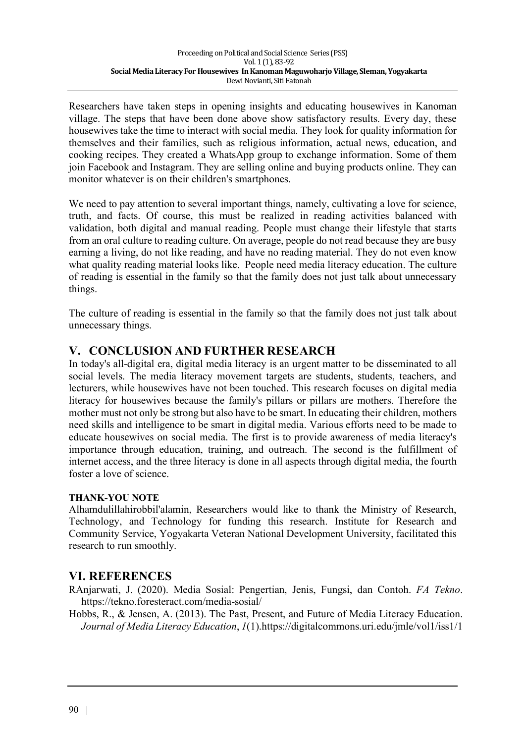Researchers have taken steps in opening insights and educating housewives in Kanoman village. The steps that have been done above show satisfactory results. Every day, these housewives take the time to interact with social media. They look for quality information for themselves and their families, such as religious information, actual news, education, and cooking recipes. They created a WhatsApp group to exchange information. Some of them join Facebook and Instagram. They are selling online and buying products online. They can monitor whatever is on their children's smartphones.

We need to pay attention to several important things, namely, cultivating a love for science, truth, and facts. Of course, this must be realized in reading activities balanced with validation, both digital and manual reading. People must change their lifestyle that starts from an oral culture to reading culture. On average, people do not read because they are busy earning a living, do not like reading, and have no reading material. They do not even know what quality reading material looks like. People need media literacy education. The culture of reading is essential in the family so that the family does not just talk about unnecessary things.

The culture of reading is essential in the family so that the family does not just talk about unnecessary things.

## **V. CONCLUSION AND FURTHER RESEARCH**

In today's all-digital era, digital media literacy is an urgent matter to be disseminated to all social levels. The media literacy movement targets are students, students, teachers, and lecturers, while housewives have not been touched. This research focuses on digital media literacy for housewives because the family's pillars or pillars are mothers. Therefore the mother must not only be strong but also have to be smart. In educating their children, mothers need skills and intelligence to be smart in digital media. Various efforts need to be made to educate housewives on social media. The first is to provide awareness of media literacy's importance through education, training, and outreach. The second is the fulfillment of internet access, and the three literacy is done in all aspects through digital media, the fourth foster a love of science.

#### **THANK-YOU NOTE**

Alhamdulillahirobbil'alamin, Researchers would like to thank the Ministry of Research, Technology, and Technology for funding this research. Institute for Research and Community Service, Yogyakarta Veteran National Development University, facilitated this research to run smoothly.

### **VI. REFERENCES**

RAnjarwati, J. (2020). Media Sosial: Pengertian, Jenis, Fungsi, dan Contoh. *FA Tekno*. https://tekno.foresteract.com/media-sosial/

Hobbs, R., & Jensen, A. (2013). The Past, Present, and Future of Media Literacy Education. *Journal of Media Literacy Education*, *1*(1).https://digitalcommons.uri.edu/jmle/vol1/iss1/1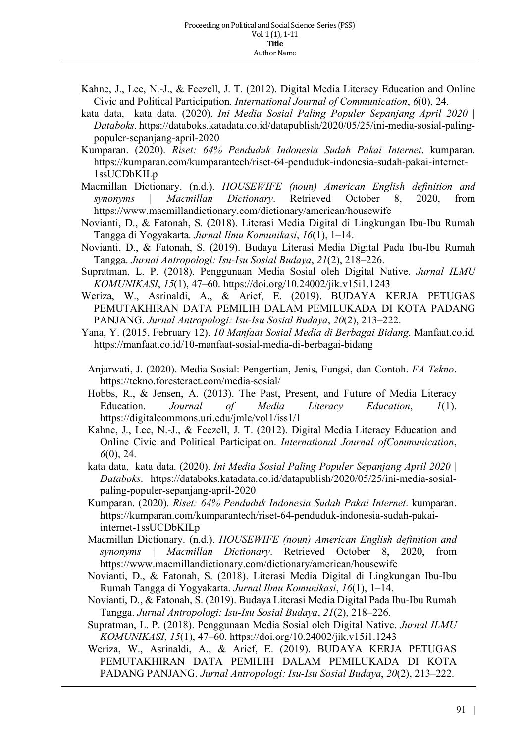- Kahne, J., Lee, N.-J., & Feezell, J. T. (2012). Digital Media Literacy Education and Online Civic and Political Participation. *International Journal of Communication*, *6*(0), 24.
- kata data, kata data. (2020). *Ini Media Sosial Paling Populer Sepanjang April 2020 | Databoks*. https://databoks.katadata.co.id/datapublish/2020/05/25/ini-media-sosial-palingpopuler-sepanjang-april-2020
- Kumparan. (2020). *Riset: 64% Penduduk Indonesia Sudah Pakai Internet*. kumparan. https://kumparan.com/kumparantech/riset-64-penduduk-indonesia-sudah-pakai-internet-1ssUCDbKILp
- Macmillan Dictionary. (n.d.). *HOUSEWIFE (noun) American English definition and synonyms | Macmillan Dictionary*. Retrieved October 8, 2020, from https://www.macmillandictionary.com/dictionary/american/housewife
- Novianti, D., & Fatonah, S. (2018). Literasi Media Digital di Lingkungan Ibu-Ibu Rumah Tangga di Yogyakarta. *Jurnal Ilmu Komunikasi*, *16*(1), 1–14.
- Novianti, D., & Fatonah, S. (2019). Budaya Literasi Media Digital Pada Ibu-Ibu Rumah Tangga. *Jurnal Antropologi: Isu-Isu Sosial Budaya*, *21*(2), 218–226.
- Supratman, L. P. (2018). Penggunaan Media Sosial oleh Digital Native. *Jurnal ILMU KOMUNIKASI*, *15*(1), 47–60. https://doi.org/10.24002/jik.v15i1.1243
- Weriza, W., Asrinaldi, A., & Arief, E. (2019). BUDAYA KERJA PETUGAS PEMUTAKHIRAN DATA PEMILIH DALAM PEMILUKADA DI KOTA PADANG PANJANG. *Jurnal Antropologi: Isu-Isu Sosial Budaya*, *20*(2), 213–222.
- Yana, Y. (2015, February 12). *10 Manfaat Sosial Media di Berbagai Bidang*. Manfaat.co.id. https://manfaat.co.id/10-manfaat-sosial-media-di-berbagai-bidang
	- Anjarwati, J. (2020). Media Sosial: Pengertian, Jenis, Fungsi, dan Contoh. *FA Tekno*. https://tekno.foresteract.com/media-sosial/
	- Hobbs, R., & Jensen, A. (2013). The Past, Present, and Future of Media Literacy Education. *Journal of Media Literacy Education*, *1*(1). https://digitalcommons.uri.edu/jmle/vol1/iss1/1
	- Kahne, J., Lee, N.-J., & Feezell, J. T. (2012). Digital Media Literacy Education and Online Civic and Political Participation. *International Journal ofCommunication*, *6*(0), 24.
	- kata data, kata data. (2020). *Ini Media Sosial Paling Populer Sepanjang April 2020 | Databoks*. https://databoks.katadata.co.id/datapublish/2020/05/25/ini-media-sosialpaling-populer-sepanjang-april-2020
	- Kumparan. (2020). *Riset: 64% Penduduk Indonesia Sudah Pakai Internet*. kumparan. https://kumparan.com/kumparantech/riset-64-penduduk-indonesia-sudah-pakaiinternet-1ssUCDbKILp
	- Macmillan Dictionary. (n.d.). *HOUSEWIFE (noun) American English definition and synonyms | Macmillan Dictionary*. Retrieved October 8, 2020, from https://www.macmillandictionary.com/dictionary/american/housewife
	- Novianti, D., & Fatonah, S. (2018). Literasi Media Digital di Lingkungan Ibu-Ibu Rumah Tangga di Yogyakarta. *Jurnal Ilmu Komunikasi*, *16*(1), 1–14.
	- Novianti, D., & Fatonah, S. (2019). Budaya Literasi Media Digital Pada Ibu-Ibu Rumah Tangga. *Jurnal Antropologi: Isu-Isu Sosial Budaya*, *21*(2), 218–226.
	- Supratman, L. P. (2018). Penggunaan Media Sosial oleh Digital Native. *Jurnal ILMU KOMUNIKASI*, *15*(1), 47–60. https://doi.org/10.24002/jik.v15i1.1243
	- Weriza, W., Asrinaldi, A., & Arief, E. (2019). BUDAYA KERJA PETUGAS PEMUTAKHIRAN DATA PEMILIH DALAM PEMILUKADA DI KOTA PADANG PANJANG. *Jurnal Antropologi: Isu-Isu Sosial Budaya*, *20*(2), 213–222.